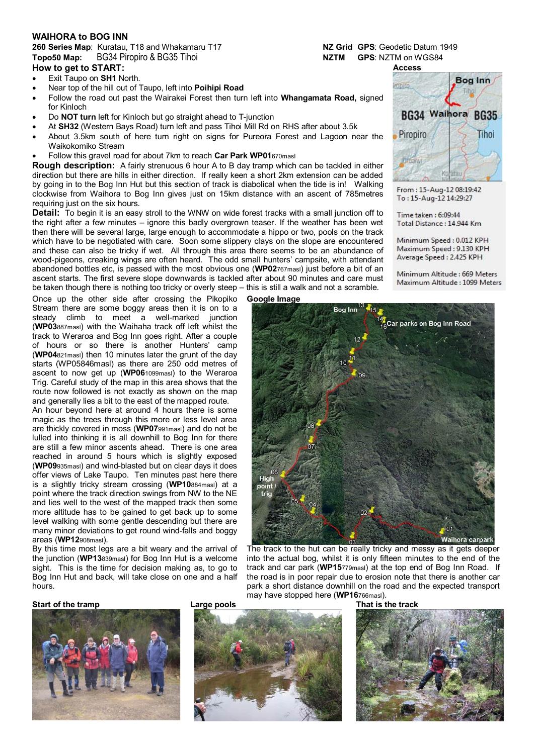#### **WAIHORA to BOG INN**

## **260 Series Map**: Kuratau, T18 and Whakamaru T17 **NZ Grid GPS**: Geodetic Datum 1949 **Topo50 Map:** BG34 Piropiro & BG35 Tihoi **NZTM GPS**: NZTM on WGS84

### **How to get to START:**

- Exit Taupo on **SH1** North.
- Near top of the hill out of Taupo, left into **Poihipi Road**
- Follow the road out past the Wairakei Forest then turn left into **Whangamata Road,** signed for Kinloch
- Do **NOT turn** left for Kinloch but go straight ahead to T-junction
- At **SH32** (Western Bays Road) turn left and pass Tihoi Mill Rd on RHS after about 3.5k
- About 3.5km south of here turn right on signs for Pureora Forest and Lagoon near the Waikokomiko Stream
- Follow this gravel road for about 7km to reach **Car Park WP01**670masl

**Rough description:** A fairly strenuous 6 hour A to B day tramp which can be tackled in either direction but there are hills in either direction. If really keen a short 2km extension can be added by going in to the Bog Inn Hut but this section of track is diabolical when the tide is in! Walking clockwise from Waihora to Bog Inn gives just on 15km distance with an ascent of 785metres requiring just on the six hours.

**Detail:** To begin it is an easy stroll to the WNW on wide forest tracks with a small junction off to the right after a few minutes – ignore this badly overgrown teaser. If the weather has been wet then there will be several large, large enough to accommodate a hippo or two, pools on the track which have to be negotiated with care. Soon some slippery clays on the slope are encountered and these can also be tricky if wet. All through this area there seems to be an abundance of wood-pigeons, creaking wings are often heard. The odd small hunters' campsite, with attendant abandoned bottles etc, is passed with the most obvious one (**WP02**767masl) just before a bit of an ascent starts. The first severe slope downwards is tackled after about 90 minutes and care must be taken though there is nothing too tricky or overly steep – this is still a walk and not a scramble.

Once up the other side after crossing the Pikopiko **Google Image** Stream there are some boggy areas then it is on to a steady climb to meet a well-marked junction (**WP03**887masl) with the Waihaha track off left whilst the track to Weraroa and Bog Inn goes right. After a couple of hours or so there is another Hunters' camp (**WP04**821masl) then 10 minutes later the grunt of the day starts (WP05846masl) as there are 250 odd metres of ascent to now get up (**WP06**1099masl) to the Weraroa Trig. Careful study of the map in this area shows that the route now followed is not exactly as shown on the map and generally lies a bit to the east of the mapped route.

An hour beyond here at around 4 hours there is some magic as the trees through this more or less level area are thickly covered in moss (**WP07**991masl) and do not be lulled into thinking it is all downhill to Bog Inn for there are still a few minor ascents ahead. There is one area reached in around 5 hours which is slightly exposed (**WP09**935masl) and wind-blasted but on clear days it does offer views of Lake Taupo. Ten minutes past here there is a slightly tricky stream crossing (**WP10**884masl) at a point where the track direction swings from NW to the NE and lies well to the west of the mapped track then some more altitude has to be gained to get back up to some level walking with some gentle descending but there are many minor deviations to get round wind-falls and boggy areas (**WP12**908masl).

By this time most legs are a bit weary and the arrival of the junction (**WP13**839masl) for Bog Inn Hut is a welcome sight. This is the time for decision making as, to go to Bog Inn Hut and back, will take close on one and a half hours.



The track to the hut can be really tricky and messy as it gets deeper into the actual bog, whilst it is only fifteen minutes to the end of the track and car park (**WP15**779masl) at the top end of Bog Inn Road. If the road is in poor repair due to erosion note that there is another car park a short distance downhill on the road and the expected transport may have stopped here (**WP16**766masl).

#### **Start of the tramp Large pools**









From: 15-Aug-12 08:19:42 To: 15-Aug-12 14:29:27

Time taken : 6:09:44 Total Distance: 14.944 Km

Minimum Speed: 0.012 KPH Maximum Speed: 9.130 KPH Average Speed: 2.425 KPH

Minimum Altitude: 669 Meters Maximum Altitude: 1099 Meters